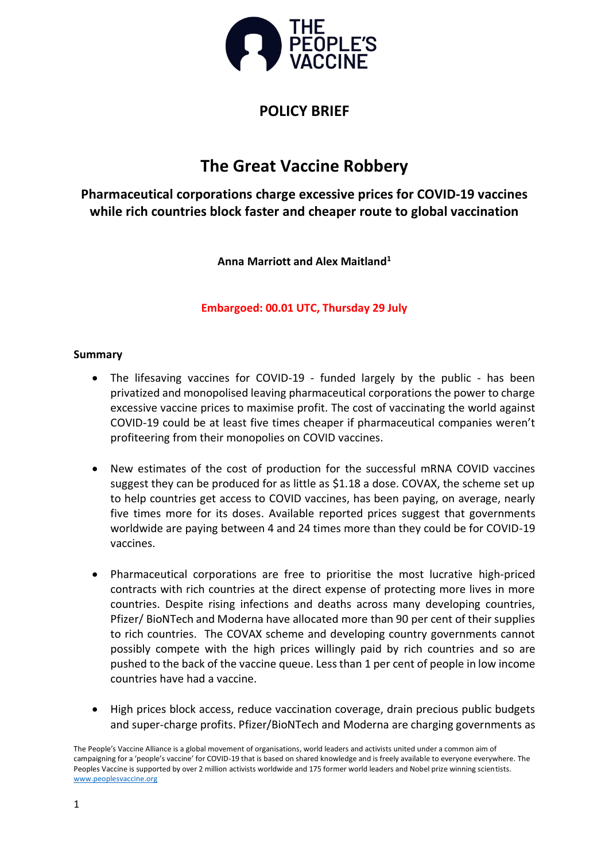

# **POLICY BRIEF**

# **The Great Vaccine Robbery**

**Pharmaceutical corporations charge excessive prices for COVID-19 vaccines while rich countries block faster and cheaper route to global vaccination**

**Anna Marriott and Alex Maitland<sup>1</sup>**

**Embargoed: 00.01 UTC, Thursday 29 July**

# **Summary**

- The lifesaving vaccines for COVID-19 funded largely by the public has been privatized and monopolised leaving pharmaceutical corporations the power to charge excessive vaccine prices to maximise profit. The cost of vaccinating the world against COVID-19 could be at least five times cheaper if pharmaceutical companies weren't profiteering from their monopolies on COVID vaccines.
- New estimates of the cost of production for the successful mRNA COVID vaccines suggest they can be produced for as little as \$1.18 a dose. COVAX, the scheme set up to help countries get access to COVID vaccines, has been paying, on average, nearly five times more for its doses. Available reported prices suggest that governments worldwide are paying between 4 and 24 times more than they could be for COVID-19 vaccines.
- Pharmaceutical corporations are free to prioritise the most lucrative high-priced contracts with rich countries at the direct expense of protecting more lives in more countries. Despite rising infections and deaths across many developing countries, Pfizer/ BioNTech and Moderna have allocated more than 90 per cent of their supplies to rich countries. The COVAX scheme and developing country governments cannot possibly compete with the high prices willingly paid by rich countries and so are pushed to the back of the vaccine queue. Less than 1 per cent of people in low income countries have had a vaccine.
- High prices block access, reduce vaccination coverage, drain precious public budgets and super-charge profits. Pfizer/BioNTech and Moderna are charging governments as

The People's Vaccine Alliance is a global movement of organisations, world leaders and activists united under a common aim of campaigning for a 'people's vaccine' for COVID-19 that is based on shared knowledge and is freely available to everyone everywhere. The Peoples Vaccine is supported by over 2 million activists worldwide and 175 former world leaders and Nobel prize winning scientists. [www.peoplesvaccine.org](http://www.peoplesvaccine.org/)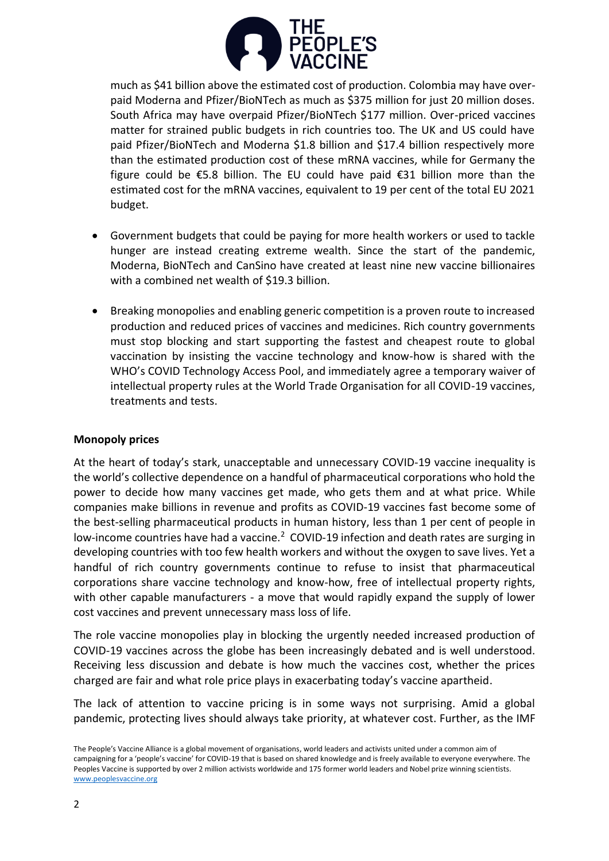

much as \$41 billion above the estimated cost of production. Colombia may have overpaid Moderna and Pfizer/BioNTech as much as \$375 million for just 20 million doses. South Africa may have overpaid Pfizer/BioNTech \$177 million. Over-priced vaccines matter for strained public budgets in rich countries too. The UK and US could have paid Pfizer/BioNTech and Moderna \$1.8 billion and \$17.4 billion respectively more than the estimated production cost of these mRNA vaccines, while for Germany the figure could be €5.8 billion. The EU could have paid €31 billion more than the estimated cost for the mRNA vaccines, equivalent to 19 per cent of the total EU 2021 budget.

- Government budgets that could be paying for more health workers or used to tackle hunger are instead creating extreme wealth. Since the start of the pandemic, Moderna, BioNTech and CanSino have created at least nine new vaccine billionaires with a combined net wealth of \$19.3 billion.
- Breaking monopolies and enabling generic competition is a proven route to increased production and reduced prices of vaccines and medicines. Rich country governments must stop blocking and start supporting the fastest and cheapest route to global vaccination by insisting the vaccine technology and know-how is shared with the WHO's COVID Technology Access Pool, and immediately agree a temporary waiver of intellectual property rules at the World Trade Organisation for all COVID-19 vaccines, treatments and tests.

# **Monopoly prices**

At the heart of today's stark, unacceptable and unnecessary COVID-19 vaccine inequality is the world's collective dependence on a handful of pharmaceutical corporations who hold the power to decide how many vaccines get made, who gets them and at what price. While companies make billions in revenue and profits as COVID-19 vaccines fast become some of the best-selling pharmaceutical products in human history, less than 1 per cent of people in low-income countries have had a vaccine.<sup>2</sup> COVID-19 infection and death rates are surging in developing countries with too few health workers and without the oxygen to save lives. Yet a handful of rich country governments continue to refuse to insist that pharmaceutical corporations share vaccine technology and know-how, free of intellectual property rights, with other capable manufacturers - a move that would rapidly expand the supply of lower cost vaccines and prevent unnecessary mass loss of life.

The role vaccine monopolies play in blocking the urgently needed increased production of COVID-19 vaccines across the globe has been increasingly debated and is well understood. Receiving less discussion and debate is how much the vaccines cost, whether the prices charged are fair and what role price plays in exacerbating today's vaccine apartheid.

The lack of attention to vaccine pricing is in some ways not surprising. Amid a global pandemic, protecting lives should always take priority, at whatever cost. Further, as the IMF

The People's Vaccine Alliance is a global movement of organisations, world leaders and activists united under a common aim of campaigning for a 'people's vaccine' for COVID-19 that is based on shared knowledge and is freely available to everyone everywhere. The Peoples Vaccine is supported by over 2 million activists worldwide and 175 former world leaders and Nobel prize winning scientists. [www.peoplesvaccine.org](http://www.peoplesvaccine.org/)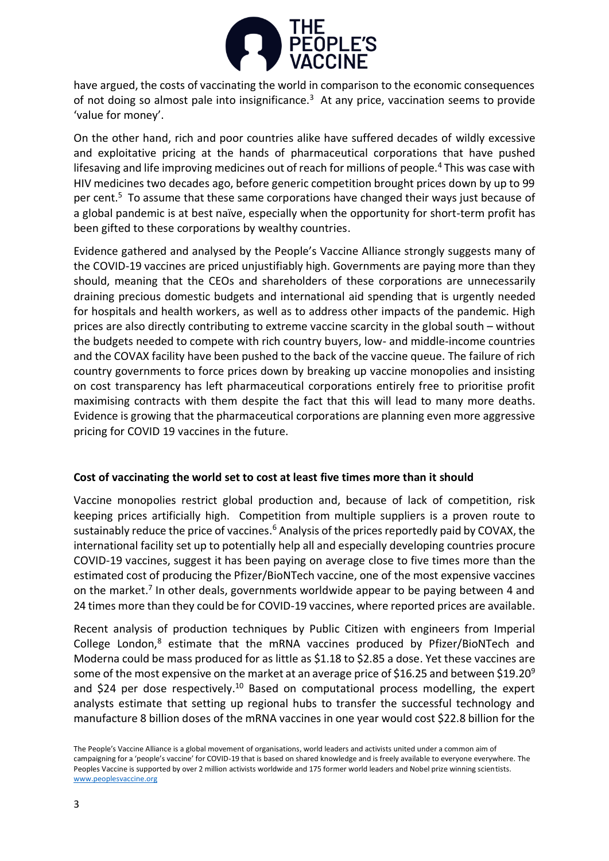

have argued, the costs of vaccinating the world in comparison to the economic consequences of not doing so almost pale into insignificance.<sup>3</sup> At any price, vaccination seems to provide 'value for money'.

On the other hand, rich and poor countries alike have suffered decades of wildly excessive and exploitative pricing at the hands of pharmaceutical corporations that have pushed lifesaving and life improving medicines out of reach for millions of people.<sup>4</sup> This was case with HIV medicines two decades ago, before generic competition brought prices down by up to 99 per cent.<sup>5</sup> To assume that these same corporations have changed their ways just because of a global pandemic is at best naïve, especially when the opportunity for short-term profit has been gifted to these corporations by wealthy countries.

Evidence gathered and analysed by the People's Vaccine Alliance strongly suggests many of the COVID-19 vaccines are priced unjustifiably high. Governments are paying more than they should, meaning that the CEOs and shareholders of these corporations are unnecessarily draining precious domestic budgets and international aid spending that is urgently needed for hospitals and health workers, as well as to address other impacts of the pandemic. High prices are also directly contributing to extreme vaccine scarcity in the global south – without the budgets needed to compete with rich country buyers, low- and middle-income countries and the COVAX facility have been pushed to the back of the vaccine queue. The failure of rich country governments to force prices down by breaking up vaccine monopolies and insisting on cost transparency has left pharmaceutical corporations entirely free to prioritise profit maximising contracts with them despite the fact that this will lead to many more deaths. Evidence is growing that the pharmaceutical corporations are planning even more aggressive pricing for COVID 19 vaccines in the future.

# **Cost of vaccinating the world set to cost at least five times more than it should**

Vaccine monopolies restrict global production and, because of lack of competition, risk keeping prices artificially high. Competition from multiple suppliers is a proven route to sustainably reduce the price of vaccines.<sup>6</sup> Analysis of the prices reportedly paid by COVAX, the international facility set up to potentially help all and especially developing countries procure COVID-19 vaccines, suggest it has been paying on average close to five times more than the estimated cost of producing the Pfizer/BioNTech vaccine, one of the most expensive vaccines on the market.<sup>7</sup> In other deals, governments worldwide appear to be paying between 4 and 24 times more than they could be for COVID-19 vaccines, where reported prices are available.

Recent analysis of production techniques by Public Citizen with engineers from Imperial College London, <sup>8</sup> estimate that the mRNA vaccines produced by Pfizer/BioNTech and Moderna could be mass produced for as little as \$1.18 to \$2.85 a dose. Yet these vaccines are some of the most expensive on the market at an average price of \$16.25 and between \$19.20<sup>9</sup> and \$24 per dose respectively.<sup>10</sup> Based on computational process modelling, the expert analysts estimate that setting up regional hubs to transfer the successful technology and manufacture 8 billion doses of the mRNA vaccines in one year would cost \$22.8 billion for the

The People's Vaccine Alliance is a global movement of organisations, world leaders and activists united under a common aim of campaigning for a 'people's vaccine' for COVID-19 that is based on shared knowledge and is freely available to everyone everywhere. The Peoples Vaccine is supported by over 2 million activists worldwide and 175 former world leaders and Nobel prize winning scientists. [www.peoplesvaccine.org](http://www.peoplesvaccine.org/)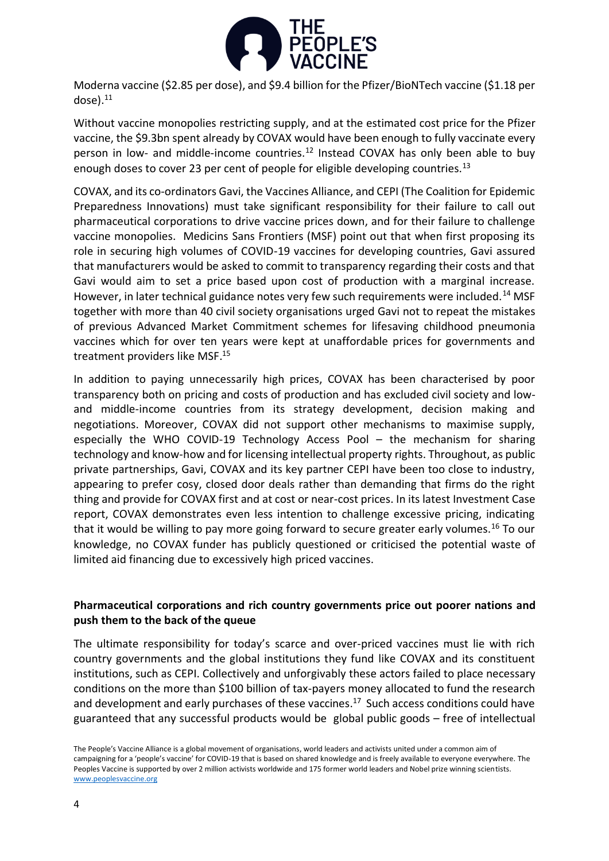

Moderna vaccine (\$2.85 per dose), and \$9.4 billion for the Pfizer/BioNTech vaccine (\$1.18 per dose). 11

Without vaccine monopolies restricting supply, and at the estimated cost price for the Pfizer vaccine, the \$9.3bn spent already by COVAX would have been enough to fully vaccinate every person in low- and middle-income countries.<sup>12</sup> Instead COVAX has only been able to buy enough doses to cover 23 per cent of people for eligible developing countries.<sup>13</sup>

COVAX, and its co-ordinators Gavi, the Vaccines Alliance, and CEPI (The Coalition for Epidemic Preparedness Innovations) must take significant responsibility for their failure to call out pharmaceutical corporations to drive vaccine prices down, and for their failure to challenge vaccine monopolies. Medicins Sans Frontiers (MSF) point out that when first proposing its role in securing high volumes of COVID-19 vaccines for developing countries, Gavi assured that manufacturers would be asked to commit to transparency regarding their costs and that Gavi would aim to set a price based upon cost of production with a marginal increase. However, in later technical guidance notes very few such requirements were included.<sup>14</sup> MSF together with more than 40 civil society organisations urged Gavi not to repeat the mistakes of previous Advanced Market Commitment schemes for lifesaving childhood pneumonia vaccines which for over ten years were kept at unaffordable prices for governments and treatment providers like MSF. 15

In addition to paying unnecessarily high prices, COVAX has been characterised by poor transparency both on pricing and costs of production and has excluded civil society and lowand middle-income countries from its strategy development, decision making and negotiations. Moreover, COVAX did not support other mechanisms to maximise supply, especially the WHO COVID-19 Technology Access Pool – the mechanism for sharing technology and know-how and for licensing intellectual property rights. Throughout, as public private partnerships, Gavi, COVAX and its key partner CEPI have been too close to industry, appearing to prefer cosy, closed door deals rather than demanding that firms do the right thing and provide for COVAX first and at cost or near-cost prices. In its latest Investment Case report, COVAX demonstrates even less intention to challenge excessive pricing, indicating that it would be willing to pay more going forward to secure greater early volumes.<sup>16</sup> To our knowledge, no COVAX funder has publicly questioned or criticised the potential waste of limited aid financing due to excessively high priced vaccines.

# **Pharmaceutical corporations and rich country governments price out poorer nations and push them to the back of the queue**

The ultimate responsibility for today's scarce and over-priced vaccines must lie with rich country governments and the global institutions they fund like COVAX and its constituent institutions, such as CEPI. Collectively and unforgivably these actors failed to place necessary conditions on the more than \$100 billion of tax-payers money allocated to fund the research and development and early purchases of these vaccines. 17 Such access conditions could have guaranteed that any successful products would be global public goods – free of intellectual

The People's Vaccine Alliance is a global movement of organisations, world leaders and activists united under a common aim of campaigning for a 'people's vaccine' for COVID-19 that is based on shared knowledge and is freely available to everyone everywhere. The Peoples Vaccine is supported by over 2 million activists worldwide and 175 former world leaders and Nobel prize winning scientists. [www.peoplesvaccine.org](http://www.peoplesvaccine.org/)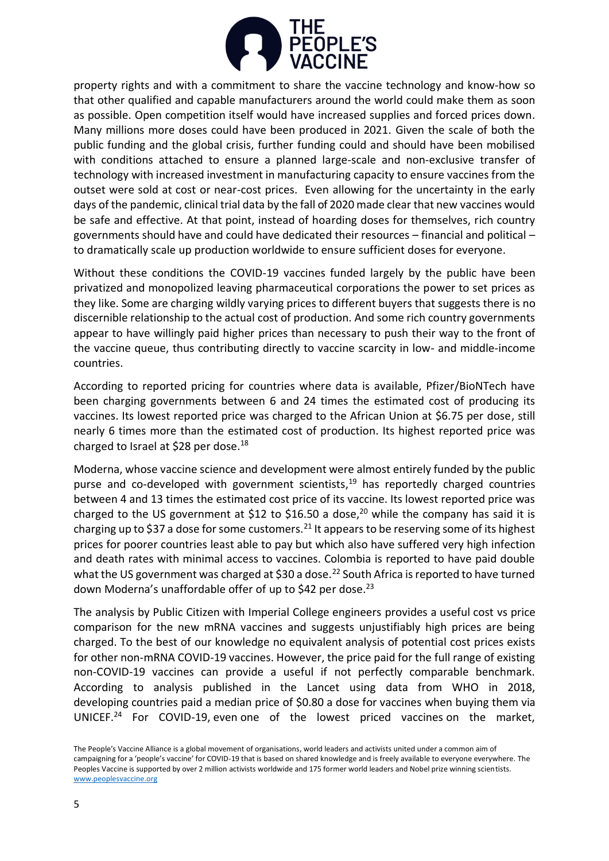

property rights and with a commitment to share the vaccine technology and know-how so that other qualified and capable manufacturers around the world could make them as soon as possible. Open competition itself would have increased supplies and forced prices down. Many millions more doses could have been produced in 2021. Given the scale of both the public funding and the global crisis, further funding could and should have been mobilised with conditions attached to ensure a planned large-scale and non-exclusive transfer of technology with increased investment in manufacturing capacity to ensure vaccines from the outset were sold at cost or near-cost prices. Even allowing for the uncertainty in the early days of the pandemic, clinical trial data by the fall of 2020 made clear that new vaccines would be safe and effective. At that point, instead of hoarding doses for themselves, rich country governments should have and could have dedicated their resources – financial and political – to dramatically scale up production worldwide to ensure sufficient doses for everyone.

Without these conditions the COVID-19 vaccines funded largely by the public have been privatized and monopolized leaving pharmaceutical corporations the power to set prices as they like. Some are charging wildly varying prices to different buyers that suggests there is no discernible relationship to the actual cost of production. And some rich country governments appear to have willingly paid higher prices than necessary to push their way to the front of the vaccine queue, thus contributing directly to vaccine scarcity in low- and middle-income countries.

According to reported pricing for countries where data is available, Pfizer/BioNTech have been charging governments between 6 and 24 times the estimated cost of producing its vaccines. Its lowest reported price was charged to the African Union at \$6.75 per dose, still nearly 6 times more than the estimated cost of production. Its highest reported price was charged to Israel at \$28 per dose.<sup>18</sup>

Moderna, whose vaccine science and development were almost entirely funded by the public purse and co-developed with government scientists, <sup>19</sup> has reportedly charged countries between 4 and 13 times the estimated cost price of its vaccine. Its lowest reported price was charged to the US government at \$12 to \$16.50 a dose,<sup>20</sup> while the company has said it is charging up to \$37 a dose for some customers.<sup>21</sup> It appears to be reserving some of its highest prices for poorer countries least able to pay but which also have suffered very high infection and death rates with minimal access to vaccines. Colombia is reported to have paid double what the US government was charged at \$30 a dose.<sup>22</sup> South Africa is reported to have turned down Moderna's unaffordable offer of up to \$42 per dose.<sup>23</sup>

The analysis by Public Citizen with Imperial College engineers provides a useful cost vs price comparison for the new mRNA vaccines and suggests unjustifiably high prices are being charged. To the best of our knowledge no equivalent analysis of potential cost prices exists for other non-mRNA COVID-19 vaccines. However, the price paid for the full range of existing non-COVID-19 vaccines can provide a useful if not perfectly comparable benchmark. According to analysis published in the Lancet using data from WHO in 2018, developing countries paid a median price of \$0.80 a dose for vaccines when buying them via UNICEF. <sup>24</sup> For COVID-19, even one of the lowest priced vaccines on the market,

The People's Vaccine Alliance is a global movement of organisations, world leaders and activists united under a common aim of campaigning for a 'people's vaccine' for COVID-19 that is based on shared knowledge and is freely available to everyone everywhere. The Peoples Vaccine is supported by over 2 million activists worldwide and 175 former world leaders and Nobel prize winning scientists. [www.peoplesvaccine.org](http://www.peoplesvaccine.org/)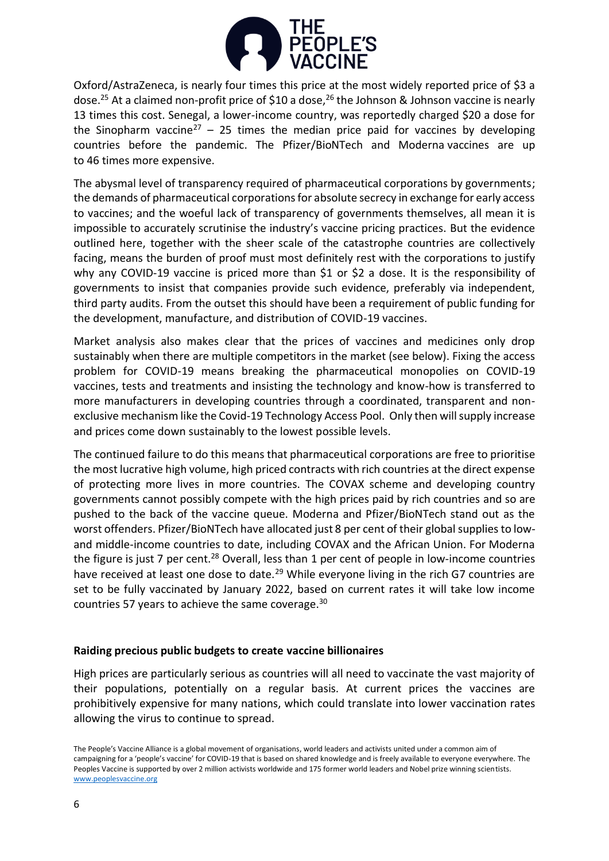

Oxford/AstraZeneca, is nearly four times this price at the most widely reported price of \$3 a dose.<sup>25</sup> At a claimed non-profit price of \$10 a dose,<sup>26</sup> the Johnson & Johnson vaccine is nearly 13 times this cost. Senegal, a lower-income country, was reportedly charged \$20 a dose for the Sinopharm vaccine<sup>27</sup> – 25 times the median price paid for vaccines by developing countries before the pandemic. The Pfizer/BioNTech and Moderna vaccines are up to 46 times more expensive.

The abysmal level of transparency required of pharmaceutical corporations by governments; the demands of pharmaceutical corporations for absolute secrecy in exchange for early access to vaccines; and the woeful lack of transparency of governments themselves, all mean it is impossible to accurately scrutinise the industry's vaccine pricing practices. But the evidence outlined here, together with the sheer scale of the catastrophe countries are collectively facing, means the burden of proof must most definitely rest with the corporations to justify why any COVID-19 vaccine is priced more than \$1 or \$2 a dose. It is the responsibility of governments to insist that companies provide such evidence, preferably via independent, third party audits. From the outset this should have been a requirement of public funding for the development, manufacture, and distribution of COVID-19 vaccines.

Market analysis also makes clear that the prices of vaccines and medicines only drop sustainably when there are multiple competitors in the market (see below). Fixing the access problem for COVID-19 means breaking the pharmaceutical monopolies on COVID-19 vaccines, tests and treatments and insisting the technology and know-how is transferred to more manufacturers in developing countries through a coordinated, transparent and nonexclusive mechanism like the Covid-19 Technology Access Pool. Only then will supply increase and prices come down sustainably to the lowest possible levels.

The continued failure to do this means that pharmaceutical corporations are free to prioritise the most lucrative high volume, high priced contracts with rich countries at the direct expense of protecting more lives in more countries. The COVAX scheme and developing country governments cannot possibly compete with the high prices paid by rich countries and so are pushed to the back of the vaccine queue. Moderna and Pfizer/BioNTech stand out as the worst offenders. Pfizer/BioNTech have allocated just 8 per cent of their global supplies to lowand middle-income countries to date, including COVAX and the African Union. For Moderna the figure is just 7 per cent.<sup>28</sup> Overall, less than 1 per cent of people in low-income countries have received at least one dose to date.<sup>29</sup> While everyone living in the rich G7 countries are set to be fully vaccinated by January 2022, based on current rates it will take low income countries 57 years to achieve the same coverage.<sup>30</sup>

# **Raiding precious public budgets to create vaccine billionaires**

High prices are particularly serious as countries will all need to vaccinate the vast majority of their populations, potentially on a regular basis. At current prices the vaccines are prohibitively expensive for many nations, which could translate into lower vaccination rates allowing the virus to continue to spread.

The People's Vaccine Alliance is a global movement of organisations, world leaders and activists united under a common aim of campaigning for a 'people's vaccine' for COVID-19 that is based on shared knowledge and is freely available to everyone everywhere. The Peoples Vaccine is supported by over 2 million activists worldwide and 175 former world leaders and Nobel prize winning scientists. [www.peoplesvaccine.org](http://www.peoplesvaccine.org/)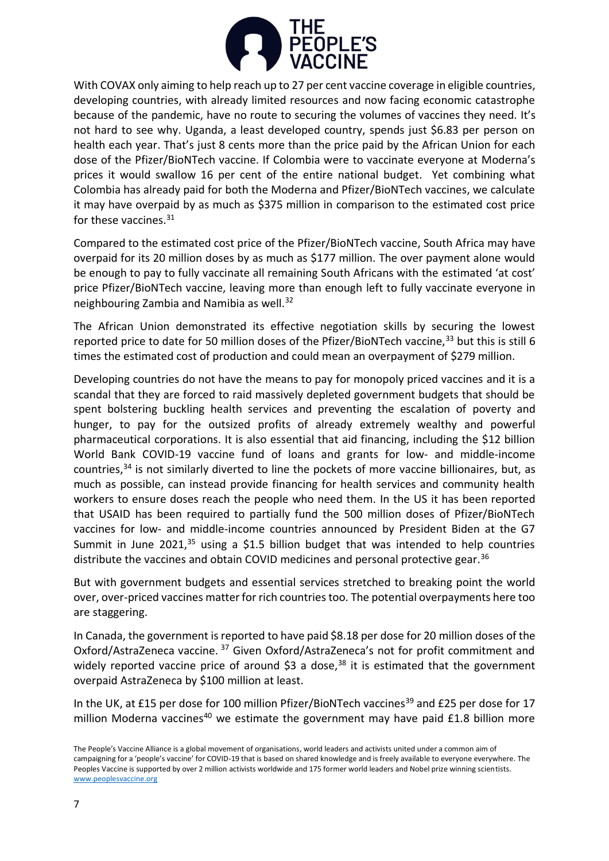

With COVAX only aiming to help reach up to 27 per cent vaccine coverage in eligible countries, developing countries, with already limited resources and now facing economic catastrophe because of the pandemic, have no route to securing the volumes of vaccines they need. It's not hard to see why. Uganda, a least developed country, spends just \$6.83 per person on health each year. That's just 8 cents more than the price paid by the African Union for each dose of the Pfizer/BioNTech vaccine. If Colombia were to vaccinate everyone at Moderna's prices it would swallow 16 per cent of the entire national budget. Yet combining what Colombia has already paid for both the Moderna and Pfizer/BioNTech vaccines, we calculate it may have overpaid by as much as \$375 million in comparison to the estimated cost price for these vaccines.<sup>31</sup>

Compared to the estimated cost price of the Pfizer/BioNTech vaccine, South Africa may have overpaid for its 20 million doses by as much as \$177 million. The over payment alone would be enough to pay to fully vaccinate all remaining South Africans with the estimated 'at cost' price Pfizer/BioNTech vaccine, leaving more than enough left to fully vaccinate everyone in neighbouring Zambia and Namibia as well.<sup>32</sup>

The African Union demonstrated its effective negotiation skills by securing the lowest reported price to date for 50 million doses of the Pfizer/BioNTech vaccine,<sup>33</sup> but this is still 6 times the estimated cost of production and could mean an overpayment of \$279 million.

Developing countries do not have the means to pay for monopoly priced vaccines and it is a scandal that they are forced to raid massively depleted government budgets that should be spent bolstering buckling health services and preventing the escalation of poverty and hunger, to pay for the outsized profits of already extremely wealthy and powerful pharmaceutical corporations. It is also essential that aid financing, including the \$12 billion World Bank COVID-19 vaccine fund of loans and grants for low- and middle-income countries,<sup>34</sup> is not similarly diverted to line the pockets of more vaccine billionaires, but, as much as possible, can instead provide financing for health services and community health workers to ensure doses reach the people who need them. In the US it has been reported that USAID has been required to partially fund the 500 million doses of Pfizer/BioNTech vaccines for low- and middle-income countries announced by President Biden at the G7 Summit in June 2021, $35$  using a \$1.5 billion budget that was intended to help countries distribute the vaccines and obtain COVID medicines and personal protective gear.<sup>36</sup>

But with government budgets and essential services stretched to breaking point the world over, over-priced vaccines matter for rich countries too. The potential overpayments here too are staggering.

In Canada, the government is reported to have paid \$8.18 per dose for 20 million doses of the Oxford/AstraZeneca vaccine. <sup>37</sup> Given Oxford/AstraZeneca's not for profit commitment and widely reported vaccine price of around  $$3$  a dose,<sup>38</sup> it is estimated that the government overpaid AstraZeneca by \$100 million at least.

In the UK, at £15 per dose for 100 million Pfizer/BioNTech vaccines<sup>39</sup> and £25 per dose for 17 million Moderna vaccines<sup>40</sup> we estimate the government may have paid  $£1.8$  billion more

The People's Vaccine Alliance is a global movement of organisations, world leaders and activists united under a common aim of campaigning for a 'people's vaccine' for COVID-19 that is based on shared knowledge and is freely available to everyone everywhere. The Peoples Vaccine is supported by over 2 million activists worldwide and 175 former world leaders and Nobel prize winning scientists. [www.peoplesvaccine.org](http://www.peoplesvaccine.org/)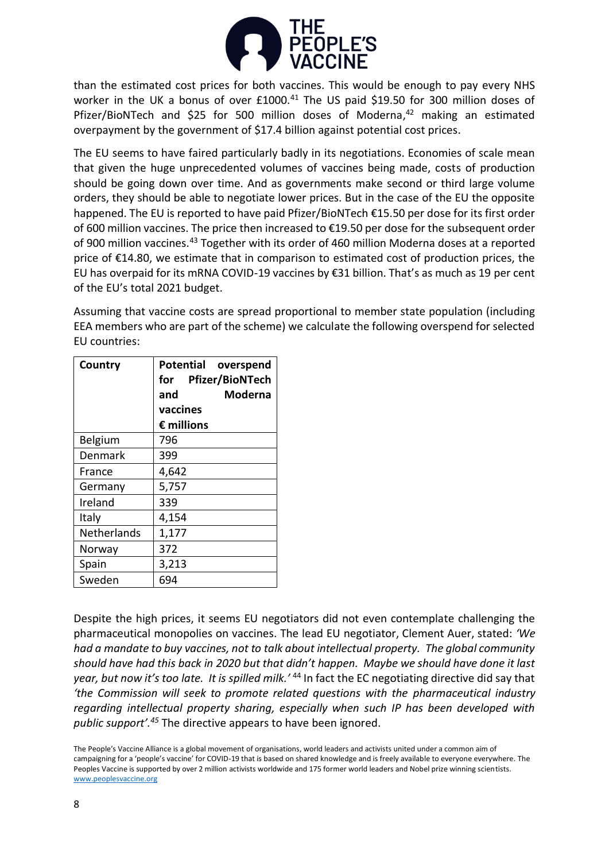

than the estimated cost prices for both vaccines. This would be enough to pay every NHS worker in the UK a bonus of over £1000.<sup>41</sup> The US paid \$19.50 for 300 million doses of Pfizer/BioNTech and \$25 for 500 million doses of Moderna,<sup>42</sup> making an estimated overpayment by the government of \$17.4 billion against potential cost prices.

The EU seems to have faired particularly badly in its negotiations. Economies of scale mean that given the huge unprecedented volumes of vaccines being made, costs of production should be going down over time. And as governments make second or third large volume orders, they should be able to negotiate lower prices. But in the case of the EU the opposite happened. The EU is reported to have paid Pfizer/BioNTech €15.50 per dose for its first order of 600 million vaccines. The price then increased to €19.50 per dose for the subsequent order of 900 million vaccines.<sup>43</sup> Together with its order of 460 million Moderna doses at a reported price of €14.80, we estimate that in comparison to estimated cost of production prices, the EU has overpaid for its mRNA COVID-19 vaccines by €31 billion. That's as much as 19 per cent of the EU's total 2021 budget.

Assuming that vaccine costs are spread proportional to member state population (including EEA members who are part of the scheme) we calculate the following overspend for selected EU countries:

| Country            | Potential overspend |
|--------------------|---------------------|
|                    | for Pfizer/BioNTech |
|                    | Moderna<br>and      |
|                    | vaccines            |
|                    | $\epsilon$ millions |
| Belgium            | 796                 |
| Denmark            | 399                 |
| France             | 4,642               |
| Germany            | 5,757               |
| Ireland            | 339                 |
| Italy              | 4,154               |
| <b>Netherlands</b> | 1,177               |
| Norway             | 372                 |
| Spain              | 3,213               |
| Sweden             | 694                 |

Despite the high prices, it seems EU negotiators did not even contemplate challenging the pharmaceutical monopolies on vaccines. The lead EU negotiator, Clement Auer, stated: *'We had a mandate to buy vaccines, not to talk about intellectual property. The global community should have had this back in 2020 but that didn't happen. Maybe we should have done it last year, but now it's too late. It is spilled milk.'* <sup>44</sup> In fact the EC negotiating directive did say that *'the Commission will seek to promote related questions with the pharmaceutical industry regarding intellectual property sharing, especially when such IP has been developed with public support'.<sup>45</sup>* The directive appears to have been ignored.

The People's Vaccine Alliance is a global movement of organisations, world leaders and activists united under a common aim of campaigning for a 'people's vaccine' for COVID-19 that is based on shared knowledge and is freely available to everyone everywhere. The Peoples Vaccine is supported by over 2 million activists worldwide and 175 former world leaders and Nobel prize winning scientists. [www.peoplesvaccine.org](http://www.peoplesvaccine.org/)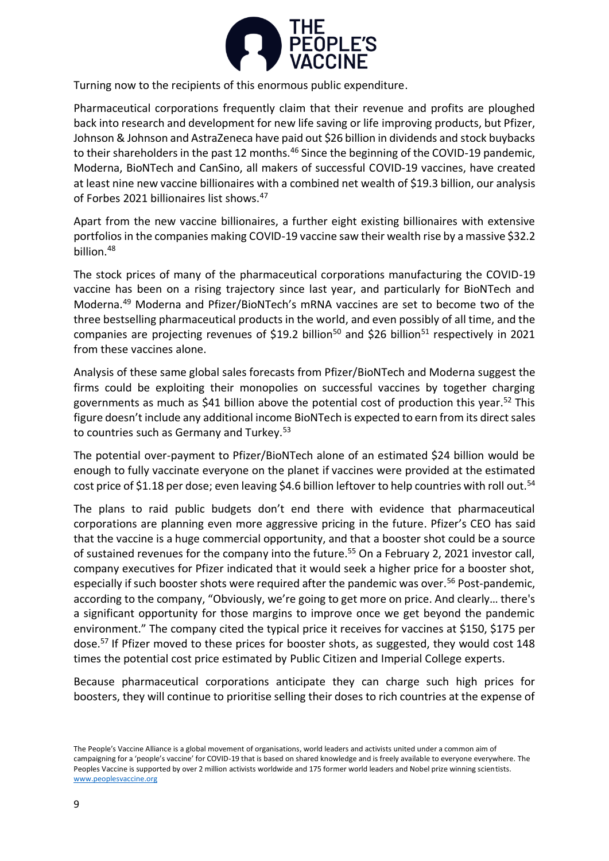

Turning now to the recipients of this enormous public expenditure.

Pharmaceutical corporations frequently claim that their revenue and profits are ploughed back into research and development for new life saving or life improving products, but Pfizer, Johnson & Johnson and AstraZeneca have paid out \$26 billion in dividends and stock buybacks to their shareholders in the past 12 months.<sup>46</sup> Since the beginning of the COVID-19 pandemic, Moderna, BioNTech and CanSino, all makers of successful COVID-19 vaccines, have created at least nine new vaccine billionaires with a combined net wealth of \$19.3 billion, our analysis of Forbes 2021 billionaires list shows.<sup>47</sup>

Apart from the new vaccine billionaires, a further eight existing billionaires with extensive portfolios in the companies making COVID-19 vaccine saw their wealth rise by a massive \$32.2 billion.<sup>48</sup>

The stock prices of many of the pharmaceutical corporations manufacturing the COVID-19 vaccine has been on a rising trajectory since last year, and particularly for BioNTech and Moderna.<sup>49</sup> Moderna and Pfizer/BioNTech's mRNA vaccines are set to become two of the three bestselling pharmaceutical products in the world, and even possibly of all time, and the companies are projecting revenues of \$19.2 billion<sup>50</sup> and \$26 billion<sup>51</sup> respectively in 2021 from these vaccines alone.

Analysis of these same global sales forecasts from Pfizer/BioNTech and Moderna suggest the firms could be exploiting their monopolies on successful vaccines by together charging governments as much as \$41 billion above the potential cost of production this year.<sup>52</sup> This figure doesn't include any additional income BioNTech is expected to earn from its direct sales to countries such as Germany and Turkey.<sup>53</sup>

The potential over-payment to Pfizer/BioNTech alone of an estimated \$24 billion would be enough to fully vaccinate everyone on the planet if vaccines were provided at the estimated cost price of \$1.18 per dose; even leaving \$4.6 billion leftover to help countries with roll out.<sup>54</sup>

The plans to raid public budgets don't end there with evidence that pharmaceutical corporations are planning even more aggressive pricing in the future. Pfizer's CEO has said that the vaccine is a huge commercial opportunity, and that a booster shot could be a source of sustained revenues for the company into the future.<sup>55</sup> On a February 2, 2021 investor call, company executives for Pfizer indicated that it would seek a higher price for a booster shot, especially if such booster shots were required after the pandemic was over.<sup>56</sup> Post-pandemic, according to the company, "Obviously, we're going to get more on price. And clearly… there's a significant opportunity for those margins to improve once we get beyond the pandemic environment." The company cited the typical price it receives for vaccines at \$150, \$175 per dose.<sup>57</sup> If Pfizer moved to these prices for booster shots, as suggested, they would cost 148 times the potential cost price estimated by Public Citizen and Imperial College experts.

Because pharmaceutical corporations anticipate they can charge such high prices for boosters, they will continue to prioritise selling their doses to rich countries at the expense of

The People's Vaccine Alliance is a global movement of organisations, world leaders and activists united under a common aim of campaigning for a 'people's vaccine' for COVID-19 that is based on shared knowledge and is freely available to everyone everywhere. The Peoples Vaccine is supported by over 2 million activists worldwide and 175 former world leaders and Nobel prize winning scientists. [www.peoplesvaccine.org](http://www.peoplesvaccine.org/)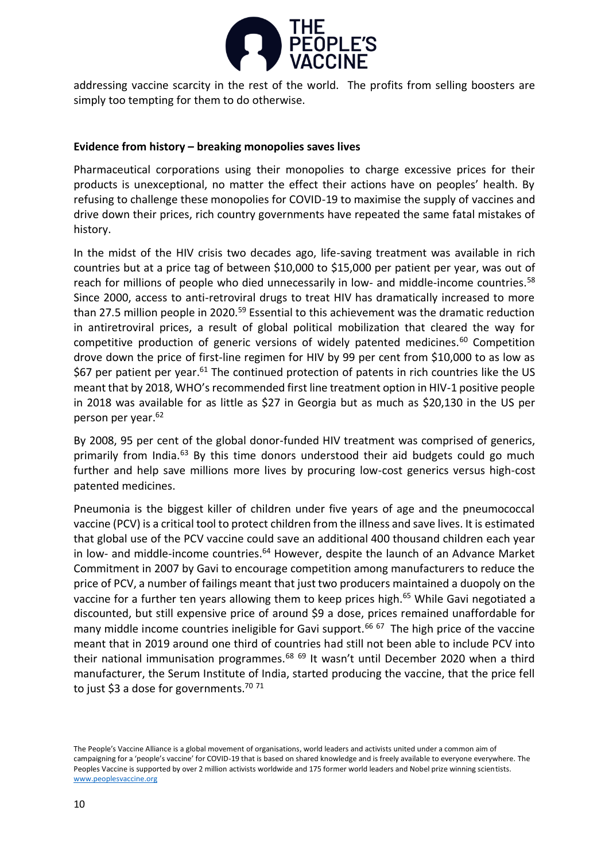

addressing vaccine scarcity in the rest of the world. The profits from selling boosters are simply too tempting for them to do otherwise.

# **Evidence from history – breaking monopolies saves lives**

Pharmaceutical corporations using their monopolies to charge excessive prices for their products is unexceptional, no matter the effect their actions have on peoples' health. By refusing to challenge these monopolies for COVID-19 to maximise the supply of vaccines and drive down their prices, rich country governments have repeated the same fatal mistakes of history.

In the midst of the HIV crisis two decades ago, life-saving treatment was available in rich countries but at a price tag of between \$10,000 to \$15,000 per patient per year, was out of reach for millions of people who died unnecessarily in low- and middle-income countries.<sup>58</sup> Since 2000, access to anti-retroviral drugs to treat HIV has dramatically increased to more than 27.5 million people in 2020.<sup>59</sup> Essential to this achievement was the dramatic reduction in antiretroviral prices, a result of global political mobilization that cleared the way for competitive production of generic versions of widely patented medicines.<sup>60</sup> Competition drove down the price of first-line regimen for HIV by 99 per cent from \$10,000 to as low as  $$67$  per patient per year.<sup>61</sup> The continued protection of patents in rich countries like the US meant that by 2018, WHO's recommended first line treatment option in HIV-1 positive people in 2018 was available for as little as \$27 in Georgia but as much as \$20,130 in the US per person per year.<sup>62</sup>

By 2008, 95 per cent of the global donor-funded HIV treatment was comprised of generics, primarily from India.<sup>63</sup> By this time donors understood their aid budgets could go much further and help save millions more lives by procuring low-cost generics versus high-cost patented medicines.

Pneumonia is the biggest killer of children under five years of age and the pneumococcal vaccine (PCV) is a critical tool to protect children from the illness and save lives. It is estimated that global use of the PCV vaccine could save an additional 400 thousand children each year in low- and middle-income countries. $64$  However, despite the launch of an Advance Market Commitment in 2007 by Gavi to encourage competition among manufacturers to reduce the price of PCV, a number of failings meant that just two producers maintained a duopoly on the vaccine for a further ten years allowing them to keep prices high.<sup>65</sup> While Gavi negotiated a discounted, but still expensive price of around \$9 a dose, prices remained unaffordable for many middle income countries ineligible for Gavi support.<sup>66 67</sup> The high price of the vaccine meant that in 2019 around one third of countries had still not been able to include PCV into their national immunisation programmes.<sup>68 69</sup> It wasn't until December 2020 when a third manufacturer, the Serum Institute of India, started producing the vaccine, that the price fell to just \$3 a dose for governments.<sup>70 71</sup>

The People's Vaccine Alliance is a global movement of organisations, world leaders and activists united under a common aim of campaigning for a 'people's vaccine' for COVID-19 that is based on shared knowledge and is freely available to everyone everywhere. The Peoples Vaccine is supported by over 2 million activists worldwide and 175 former world leaders and Nobel prize winning scientists. [www.peoplesvaccine.org](http://www.peoplesvaccine.org/)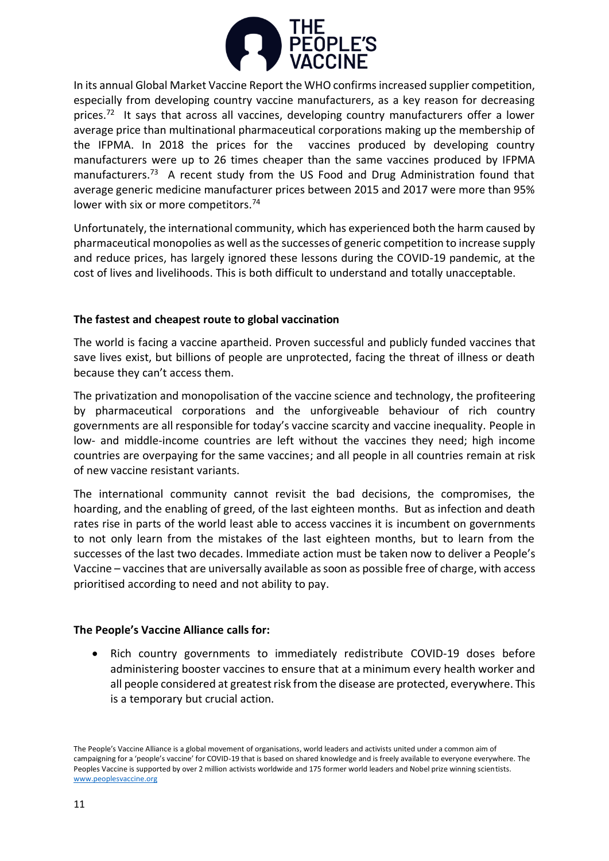

In its annual Global Market Vaccine Report the WHO confirms increased supplier competition, especially from developing country vaccine manufacturers, as a key reason for decreasing prices.<sup>72</sup> It says that across all vaccines, developing country manufacturers offer a lower average price than multinational pharmaceutical corporations making up the membership of the IFPMA. In 2018 the prices for the vaccines produced by developing country manufacturers were up to 26 times cheaper than the same vaccines produced by IFPMA manufacturers.<sup>73</sup> A recent study from the US Food and Drug Administration found that average generic medicine manufacturer prices between 2015 and 2017 were more than 95% lower with six or more competitors.<sup>74</sup>

Unfortunately, the international community, which has experienced both the harm caused by pharmaceutical monopolies as well as the successes of generic competition to increase supply and reduce prices, has largely ignored these lessons during the COVID-19 pandemic, at the cost of lives and livelihoods. This is both difficult to understand and totally unacceptable.

# **The fastest and cheapest route to global vaccination**

The world is facing a vaccine apartheid. Proven successful and publicly funded vaccines that save lives exist, but billions of people are unprotected, facing the threat of illness or death because they can't access them.

The privatization and monopolisation of the vaccine science and technology, the profiteering by pharmaceutical corporations and the unforgiveable behaviour of rich country governments are all responsible for today's vaccine scarcity and vaccine inequality. People in low- and middle-income countries are left without the vaccines they need; high income countries are overpaying for the same vaccines; and all people in all countries remain at risk of new vaccine resistant variants.

The international community cannot revisit the bad decisions, the compromises, the hoarding, and the enabling of greed, of the last eighteen months. But as infection and death rates rise in parts of the world least able to access vaccines it is incumbent on governments to not only learn from the mistakes of the last eighteen months, but to learn from the successes of the last two decades. Immediate action must be taken now to deliver a People's Vaccine – vaccines that are universally available as soon as possible free of charge, with access prioritised according to need and not ability to pay.

# **The People's Vaccine Alliance calls for:**

• Rich country governments to immediately redistribute COVID-19 doses before administering booster vaccines to ensure that at a minimum every health worker and all people considered at greatest risk from the disease are protected, everywhere. This is a temporary but crucial action.

The People's Vaccine Alliance is a global movement of organisations, world leaders and activists united under a common aim of campaigning for a 'people's vaccine' for COVID-19 that is based on shared knowledge and is freely available to everyone everywhere. The Peoples Vaccine is supported by over 2 million activists worldwide and 175 former world leaders and Nobel prize winning scientists. [www.peoplesvaccine.org](http://www.peoplesvaccine.org/)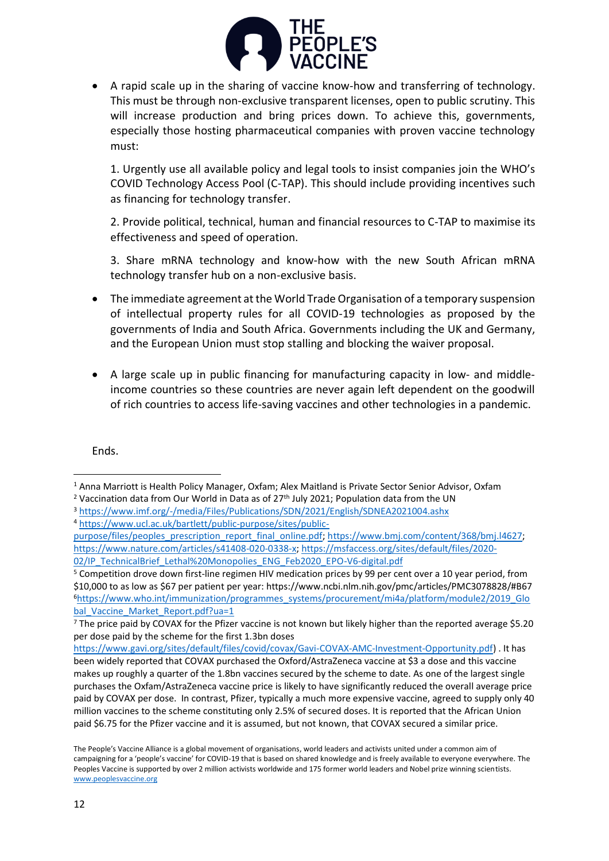

• A rapid scale up in the sharing of vaccine know-how and transferring of technology. This must be through non-exclusive transparent licenses, open to public scrutiny. This will increase production and bring prices down. To achieve this, governments, especially those hosting pharmaceutical companies with proven vaccine technology must:

1. Urgently use all available policy and legal tools to insist companies join the WHO's COVID Technology Access Pool (C-TAP). This should include providing incentives such as financing for technology transfer.

2. Provide political, technical, human and financial resources to C-TAP to maximise its effectiveness and speed of operation.

3. Share mRNA technology and know-how with the new South African mRNA technology transfer hub on a non-exclusive basis.

- The immediate agreement at the World Trade Organisation of a temporary suspension of intellectual property rules for all COVID-19 technologies as proposed by the governments of India and South Africa. Governments including the UK and Germany, and the European Union must stop stalling and blocking the waiver proposal.
- A large scale up in public financing for manufacturing capacity in low- and middleincome countries so these countries are never again left dependent on the goodwill of rich countries to access life-saving vaccines and other technologies in a pandemic.

Ends.

[purpose/files/peoples\\_prescription\\_report\\_final\\_online.pdf;](https://www.ucl.ac.uk/bartlett/public-purpose/sites/public-purpose/files/peoples_prescription_report_final_online.pdf) [https://www.bmj.com/content/368/bmj.l4627;](https://www.bmj.com/content/368/bmj.l4627) [https://www.nature.com/articles/s41408-020-0338-x;](https://www.nature.com/articles/s41408-020-0338-x) [https://msfaccess.org/sites/default/files/2020-](https://msfaccess.org/sites/default/files/2020-02/IP_TechnicalBrief_Lethal%20Monopolies_ENG_Feb2020_EPO-V6-digital.pdf) 02/IP TechnicalBrief Lethal%20Monopolies ENG Feb2020 EPO-V6-digital.pdf

<sup>5</sup> Competition drove down first-line regimen HIV medication prices by 99 per cent over a 10 year period, from \$10,000 to as low as \$67 per patient per year: https://www.ncbi.nlm.nih.gov/pmc/articles/PMC3078828/#B67 <sup>6</sup>[https://www.who.int/immunization/programmes\\_systems/procurement/mi4a/platform/module2/2019\\_Glo](https://www.who.int/immunization/programmes_systems/procurement/mi4a/platform/module2/2019_Global_Vaccine_Market_Report.pdf?ua=1) [bal\\_Vaccine\\_Market\\_Report.pdf?ua=1](https://www.who.int/immunization/programmes_systems/procurement/mi4a/platform/module2/2019_Global_Vaccine_Market_Report.pdf?ua=1)

[https://www.gavi.org/sites/default/files/covid/covax/Gavi-COVAX-AMC-Investment-Opportunity.pdf\)](https://www.gavi.org/sites/default/files/covid/covax/Gavi-COVAX-AMC-Investment-Opportunity.pdf) . It has been widely reported that COVAX purchased the Oxford/AstraZeneca vaccine at \$3 a dose and this vaccine makes up roughly a quarter of the 1.8bn vaccines secured by the scheme to date. As one of the largest single purchases the Oxfam/AstraZeneca vaccine price is likely to have significantly reduced the overall average price paid by COVAX per dose. In contrast, Pfizer, typically a much more expensive vaccine, agreed to supply only 40 million vaccines to the scheme constituting only 2.5% of secured doses. It is reported that the African Union paid \$6.75 for the Pfizer vaccine and it is assumed, but not known, that COVAX secured a similar price.

<sup>1</sup> Anna Marriott is Health Policy Manager, Oxfam; Alex Maitland is Private Sector Senior Advisor, Oxfam

<sup>&</sup>lt;sup>2</sup> Vaccination data from Our World in Data as of  $27<sup>th</sup>$  July 2021; Population data from the UN

<sup>3</sup> <https://www.imf.org/-/media/Files/Publications/SDN/2021/English/SDNEA2021004.ashx> <sup>4</sup> [https://www.ucl.ac.uk/bartlett/public-purpose/sites/public-](https://www.ucl.ac.uk/bartlett/public-purpose/sites/public-purpose/files/peoples_prescription_report_final_online.pdf)

<sup>7</sup> The price paid by COVAX for the Pfizer vaccine is not known but likely higher than the reported average \$5.20 per dose paid by the scheme for the first 1.3bn doses

The People's Vaccine Alliance is a global movement of organisations, world leaders and activists united under a common aim of campaigning for a 'people's vaccine' for COVID-19 that is based on shared knowledge and is freely available to everyone everywhere. The Peoples Vaccine is supported by over 2 million activists worldwide and 175 former world leaders and Nobel prize winning scientists. [www.peoplesvaccine.org](http://www.peoplesvaccine.org/)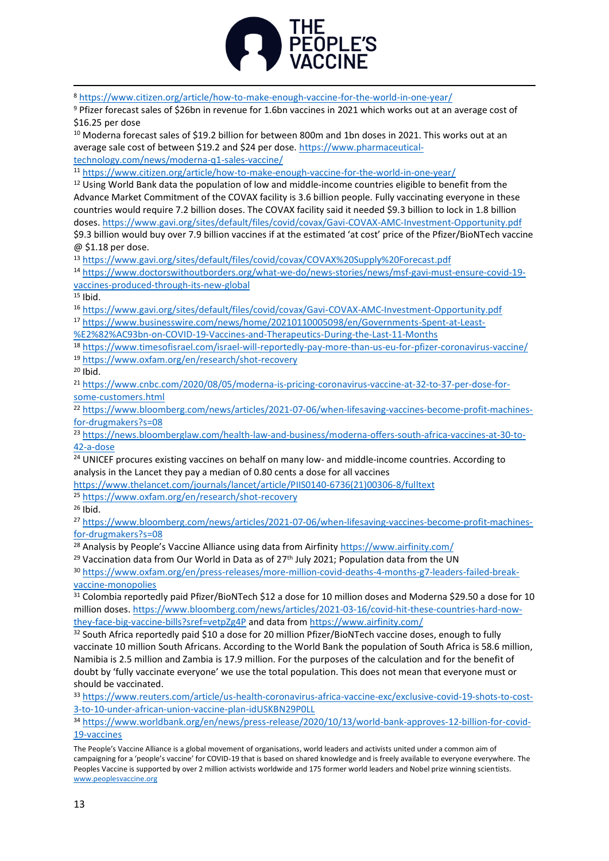

<sup>8</sup> <https://www.citizen.org/article/how-to-make-enough-vaccine-for-the-world-in-one-year/>

<sup>9</sup> Pfizer forecast sales of \$26bn in revenue for 1.6bn vaccines in 2021 which works out at an average cost of \$16.25 per dose

<sup>10</sup> Moderna forecast sales of \$19.2 billion for between 800m and 1bn doses in 2021. This works out at an average sale cost of between \$19.2 and \$24 per dose. [https://www.pharmaceutical](https://www.pharmaceutical-technology.com/news/moderna-q1-sales-vaccine/)[technology.com/news/moderna-q1-sales-vaccine/](https://www.pharmaceutical-technology.com/news/moderna-q1-sales-vaccine/)

<sup>11</sup> <https://www.citizen.org/article/how-to-make-enough-vaccine-for-the-world-in-one-year/>

<sup>12</sup> Using World Bank data the population of low and middle-income countries eligible to benefit from the Advance Market Commitment of the COVAX facility is 3.6 billion people. Fully vaccinating everyone in these countries would require 7.2 billion doses. The COVAX facility said it needed \$9.3 billion to lock in 1.8 billion doses[. https://www.gavi.org/sites/default/files/covid/covax/Gavi-COVAX-AMC-Investment-Opportunity.pdf](https://www.gavi.org/sites/default/files/covid/covax/Gavi-COVAX-AMC-Investment-Opportunity.pdf) \$9.3 billion would buy over 7.9 billion vaccines if at the estimated 'at cost' price of the Pfizer/BioNTech vaccine @ \$1.18 per dose.

<sup>13</sup> <https://www.gavi.org/sites/default/files/covid/covax/COVAX%20Supply%20Forecast.pdf>

<sup>14</sup> [https://www.doctorswithoutborders.org/what-we-do/news-stories/news/msf-gavi-must-ensure-covid-19](https://www.doctorswithoutborders.org/what-we-do/news-stories/news/msf-gavi-must-ensure-covid-19-vaccines-produced-through-its-new-global) [vaccines-produced-through-its-new-global](https://www.doctorswithoutborders.org/what-we-do/news-stories/news/msf-gavi-must-ensure-covid-19-vaccines-produced-through-its-new-global)

 $15$  Ibid.

<sup>16</sup> <https://www.gavi.org/sites/default/files/covid/covax/Gavi-COVAX-AMC-Investment-Opportunity.pdf>

<sup>17</sup> [https://www.businesswire.com/news/home/20210110005098/en/Governments-Spent-at-Least-](https://www.businesswire.com/news/home/20210110005098/en/Governments-Spent-at-Least-%E2%82%AC93bn-on-COVID-19-Vaccines-and-Therapeutics-During-the-Last-11-Months)

[%E2%82%AC93bn-on-COVID-19-Vaccines-and-Therapeutics-During-the-Last-11-Months](https://www.businesswire.com/news/home/20210110005098/en/Governments-Spent-at-Least-%E2%82%AC93bn-on-COVID-19-Vaccines-and-Therapeutics-During-the-Last-11-Months)

<sup>18</sup> <https://www.timesofisrael.com/israel-will-reportedly-pay-more-than-us-eu-for-pfizer-coronavirus-vaccine/>

<sup>19</sup> <https://www.oxfam.org/en/research/shot-recovery>

 $20$  Ibid.

<sup>21</sup> [https://www.cnbc.com/2020/08/05/moderna-is-pricing-coronavirus-vaccine-at-32-to-37-per-dose-for](https://www.cnbc.com/2020/08/05/moderna-is-pricing-coronavirus-vaccine-at-32-to-37-per-dose-for-some-customers.html)[some-customers.html](https://www.cnbc.com/2020/08/05/moderna-is-pricing-coronavirus-vaccine-at-32-to-37-per-dose-for-some-customers.html)

<sup>22</sup> [https://www.bloomberg.com/news/articles/2021-07-06/when-lifesaving-vaccines-become-profit-machines](https://www.bloomberg.com/news/articles/2021-07-06/when-lifesaving-vaccines-become-profit-machines-for-drugmakers?s=08)[for-drugmakers?s=08](https://www.bloomberg.com/news/articles/2021-07-06/when-lifesaving-vaccines-become-profit-machines-for-drugmakers?s=08)

<sup>23</sup> [https://news.bloomberglaw.com/health-law-and-business/moderna-offers-south-africa-vaccines-at-30-to-](https://news.bloomberglaw.com/health-law-and-business/moderna-offers-south-africa-vaccines-at-30-to-42-a-dose)[42-a-dose](https://news.bloomberglaw.com/health-law-and-business/moderna-offers-south-africa-vaccines-at-30-to-42-a-dose)

<sup>24</sup> UNICEF procures existing vaccines on behalf on many low- and middle-income countries. According to analysis in the Lancet they pay a median of 0.80 cents a dose for all vaccines

[https://www.thelancet.com/journals/lancet/article/PIIS0140-6736\(21\)00306-8/fulltext](https://www.thelancet.com/journals/lancet/article/PIIS0140-6736(21)00306-8/fulltext)

<sup>25</sup> <https://www.oxfam.org/en/research/shot-recovery>

 $26$  Ibid.

<sup>27</sup> [https://www.bloomberg.com/news/articles/2021-07-06/when-lifesaving-vaccines-become-profit-machines](https://www.bloomberg.com/news/articles/2021-07-06/when-lifesaving-vaccines-become-profit-machines-for-drugmakers?s=08)[for-drugmakers?s=08](https://www.bloomberg.com/news/articles/2021-07-06/when-lifesaving-vaccines-become-profit-machines-for-drugmakers?s=08)

<sup>28</sup> Analysis by People's Vaccine Alliance using data from Airfinity<https://www.airfinity.com/>

<sup>29</sup> Vaccination data from Our World in Data as of  $27<sup>th</sup>$  July 2021; Population data from the UN

<sup>30</sup> [https://www.oxfam.org/en/press-releases/more-million-covid-deaths-4-months-g7-leaders-failed-break](https://www.oxfam.org/en/press-releases/more-million-covid-deaths-4-months-g7-leaders-failed-break-vaccine-monopolies)[vaccine-monopolies](https://www.oxfam.org/en/press-releases/more-million-covid-deaths-4-months-g7-leaders-failed-break-vaccine-monopolies)

<sup>31</sup> Colombia reportedly paid Pfizer/BioNTech \$12 a dose for 10 million doses and Moderna \$29.50 a dose for 10 million doses. [https://www.bloomberg.com/news/articles/2021-03-16/covid-hit-these-countries-hard-now](https://www.bloomberg.com/news/articles/2021-03-16/covid-hit-these-countries-hard-now-they-face-big-vaccine-bills?sref=vetpZg4P)[they-face-big-vaccine-bills?sref=vetpZg4P](https://www.bloomberg.com/news/articles/2021-03-16/covid-hit-these-countries-hard-now-they-face-big-vaccine-bills?sref=vetpZg4P) and data from<https://www.airfinity.com/>

<sup>32</sup> South Africa reportedly paid \$10 a dose for 20 million Pfizer/BioNTech vaccine doses, enough to fully vaccinate 10 million South Africans. According to the World Bank the population of South Africa is 58.6 million, Namibia is 2.5 million and Zambia is 17.9 million. For the purposes of the calculation and for the benefit of doubt by 'fully vaccinate everyone' we use the total population. This does not mean that everyone must or should be vaccinated.

<sup>33</sup> [https://www.reuters.com/article/us-health-coronavirus-africa-vaccine-exc/exclusive-covid-19-shots-to-cost-](https://www.reuters.com/article/us-health-coronavirus-africa-vaccine-exc/exclusive-covid-19-shots-to-cost-3-to-10-under-african-union-vaccine-plan-idUSKBN29P0LL)[3-to-10-under-african-union-vaccine-plan-idUSKBN29P0LL](https://www.reuters.com/article/us-health-coronavirus-africa-vaccine-exc/exclusive-covid-19-shots-to-cost-3-to-10-under-african-union-vaccine-plan-idUSKBN29P0LL)

<sup>34</sup> [https://www.worldbank.org/en/news/press-release/2020/10/13/world-bank-approves-12-billion-for-covid-](https://www.worldbank.org/en/news/press-release/2020/10/13/world-bank-approves-12-billion-for-covid-19-vaccines)[19-vaccines](https://www.worldbank.org/en/news/press-release/2020/10/13/world-bank-approves-12-billion-for-covid-19-vaccines)

The People's Vaccine Alliance is a global movement of organisations, world leaders and activists united under a common aim of campaigning for a 'people's vaccine' for COVID-19 that is based on shared knowledge and is freely available to everyone everywhere. The Peoples Vaccine is supported by over 2 million activists worldwide and 175 former world leaders and Nobel prize winning scientists. [www.peoplesvaccine.org](http://www.peoplesvaccine.org/)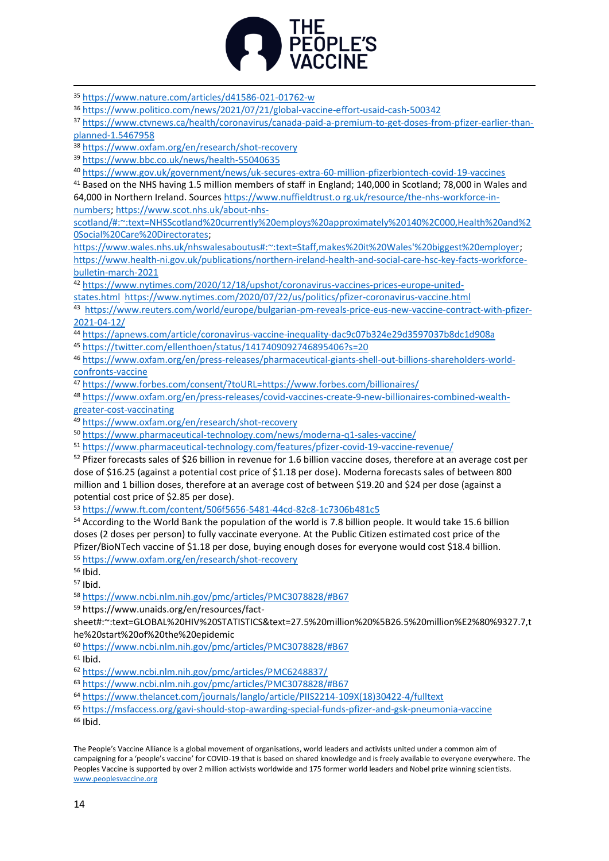

<sup>35</sup> <https://www.nature.com/articles/d41586-021-01762-w>

<sup>36</sup> <https://www.politico.com/news/2021/07/21/global-vaccine-effort-usaid-cash-500342>

<sup>37</sup> [https://www.ctvnews.ca/health/coronavirus/canada-paid-a-premium-to-get-doses-from-pfizer-earlier-than](https://www.ctvnews.ca/health/coronavirus/canada-paid-a-premium-to-get-doses-from-pfizer-earlier-than-planned-1.5467958)[planned-1.5467958](https://www.ctvnews.ca/health/coronavirus/canada-paid-a-premium-to-get-doses-from-pfizer-earlier-than-planned-1.5467958)

<sup>38</sup> <https://www.oxfam.org/en/research/shot-recovery>

<sup>39</sup> <https://www.bbc.co.uk/news/health-55040635>

<sup>40</sup> <https://www.gov.uk/government/news/uk-secures-extra-60-million-pfizerbiontech-covid-19-vaccines>

<sup>41</sup> Based on the NHS having 1.5 million members of staff in England; 140,000 in Scotland; 78,000 in Wales and 64,000 in Northern Ireland. Sources https://www.nuffieldtrust.o rg.uk/resource/the-nhs-workforce-in-

numbers; [https://www.scot.nhs.uk/about-nhs-](https://www.scot.nhs.uk/about-nhs-scotland/#:~:text=NHSScotland%20currently%20employs%20approximately%20140%2C000,Health%20and%20Social%20Care%20Directorates)

[scotland/#:~:text=NHSScotland%20currently%20employs%20approximately%20140%2C000,Health%20and%2](https://www.scot.nhs.uk/about-nhs-scotland/#:~:text=NHSScotland%20currently%20employs%20approximately%20140%2C000,Health%20and%20Social%20Care%20Directorates) [0Social%20Care%20Directorates;](https://www.scot.nhs.uk/about-nhs-scotland/#:~:text=NHSScotland%20currently%20employs%20approximately%20140%2C000,Health%20and%20Social%20Care%20Directorates)

[https://www.wales.nhs.uk/nhswalesaboutus#:~:text=Staff,makes%20it%20Wales'%20biggest%20employer;](https://www.wales.nhs.uk/nhswalesaboutus#:~:text=Staff,makes%20it%20Wales) [https://www.health-ni.gov.uk/publications/northern-ireland-health-and-social-care-hsc-key-facts-workforce](https://www.health-ni.gov.uk/publications/northern-ireland-health-and-social-care-hsc-key-facts-workforce-bulletin-march-2021)[bulletin-march-2021](https://www.health-ni.gov.uk/publications/northern-ireland-health-and-social-care-hsc-key-facts-workforce-bulletin-march-2021)

<sup>42</sup> [https://www.nytimes.com/2020/12/18/upshot/coronavirus-vaccines-prices-europe-united-](https://www.nytimes.com/2020/12/18/upshot/coronavirus-vaccines-prices-europe-united-states.html)

[states.html](https://www.nytimes.com/2020/12/18/upshot/coronavirus-vaccines-prices-europe-united-states.html) <https://www.nytimes.com/2020/07/22/us/politics/pfizer-coronavirus-vaccine.html>

<sup>43</sup> [https://www.reuters.com/world/europe/bulgarian-pm-reveals-price-eus-new-vaccine-contract-with-pfizer-](https://www.reuters.com/world/europe/bulgarian-pm-reveals-price-eus-new-vaccine-contract-with-pfizer-2021-04-12/)[2021-04-12/](https://www.reuters.com/world/europe/bulgarian-pm-reveals-price-eus-new-vaccine-contract-with-pfizer-2021-04-12/)

<sup>44</sup> <https://apnews.com/article/coronavirus-vaccine-inequality-dac9c07b324e29d3597037b8dc1d908a>

<sup>45</sup> <https://twitter.com/ellenthoen/status/1417409092746895406?s=20>

<sup>46</sup> [https://www.oxfam.org/en/press-releases/pharmaceutical-giants-shell-out-billions-shareholders-world](https://www.oxfam.org/en/press-releases/pharmaceutical-giants-shell-out-billions-shareholders-world-confronts-vaccine)[confronts-vaccine](https://www.oxfam.org/en/press-releases/pharmaceutical-giants-shell-out-billions-shareholders-world-confronts-vaccine)

<sup>47</sup> <https://www.forbes.com/consent/?toURL=https://www.forbes.com/billionaires/>

<sup>48</sup> [https://www.oxfam.org/en/press-releases/covid-vaccines-create-9-new-billionaires-combined-wealth](https://www.oxfam.org/en/press-releases/covid-vaccines-create-9-new-billionaires-combined-wealth-greater-cost-vaccinating)[greater-cost-vaccinating](https://www.oxfam.org/en/press-releases/covid-vaccines-create-9-new-billionaires-combined-wealth-greater-cost-vaccinating) 

<sup>49</sup> <https://www.oxfam.org/en/research/shot-recovery>

<sup>50</sup> <https://www.pharmaceutical-technology.com/news/moderna-q1-sales-vaccine/>

<sup>51</sup> <https://www.pharmaceutical-technology.com/features/pfizer-covid-19-vaccine-revenue/>

<sup>52</sup> Pfizer forecasts sales of \$26 billion in revenue for 1.6 billion vaccine doses, therefore at an average cost per dose of \$16.25 (against a potential cost price of \$1.18 per dose). Moderna forecasts sales of between 800 million and 1 billion doses, therefore at an average cost of between \$19.20 and \$24 per dose (against a potential cost price of \$2.85 per dose).

<sup>53</sup> <https://www.ft.com/content/506f5656-5481-44cd-82c8-1c7306b481c5>

<sup>54</sup> According to the World Bank the population of the world is 7.8 billion people. It would take 15.6 billion doses (2 doses per person) to fully vaccinate everyone. At the Public Citizen estimated cost price of the Pfizer/BioNTech vaccine of \$1.18 per dose, buying enough doses for everyone would cost \$18.4 billion.

<sup>55</sup> <https://www.oxfam.org/en/research/shot-recovery>

<sup>56</sup> Ibid.

<sup>57</sup> Ibid.

<sup>58</sup> <https://www.ncbi.nlm.nih.gov/pmc/articles/PMC3078828/#B67>

<sup>59</sup> https://www.unaids.org/en/resources/fact-

sheet#:~:text=GLOBAL%20HIV%20STATISTICS&text=27.5%20million%20%5B26.5%20million%E2%80%9327.7,t he%20start%20of%20the%20epidemic

<sup>60</sup> <https://www.ncbi.nlm.nih.gov/pmc/articles/PMC3078828/#B67>

 $61$  Ibid.

<sup>62</sup> <https://www.ncbi.nlm.nih.gov/pmc/articles/PMC6248837/>

<sup>63</sup> <https://www.ncbi.nlm.nih.gov/pmc/articles/PMC3078828/#B67>

<sup>64</sup> [https://www.thelancet.com/journals/langlo/article/PIIS2214-109X\(18\)30422-4/fulltext](https://www.thelancet.com/journals/langlo/article/PIIS2214-109X(18)30422-4/fulltext)

<sup>65</sup> <https://msfaccess.org/gavi-should-stop-awarding-special-funds-pfizer-and-gsk-pneumonia-vaccine>

<sup>66</sup> Ibid.

The People's Vaccine Alliance is a global movement of organisations, world leaders and activists united under a common aim of campaigning for a 'people's vaccine' for COVID-19 that is based on shared knowledge and is freely available to everyone everywhere. The Peoples Vaccine is supported by over 2 million activists worldwide and 175 former world leaders and Nobel prize winning scientists. [www.peoplesvaccine.org](http://www.peoplesvaccine.org/)